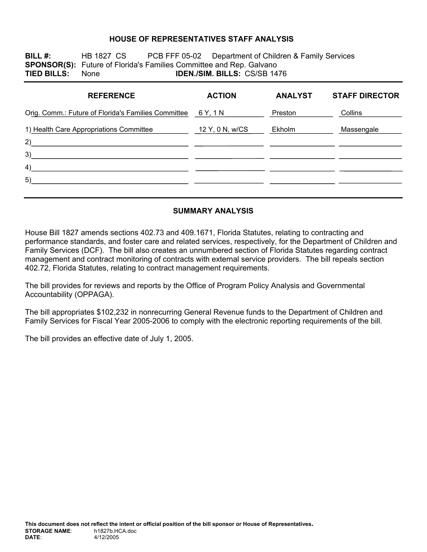#### **HOUSE OF REPRESENTATIVES STAFF ANALYSIS**

**BILL #:** HB 1827 CS PCB FFF 05-02 Department of Children & Family Services **SPONSOR(S):** Future of Florida's Families Committee and Rep. Galvano **TIED BILLS:** None **IDEN./SIM. BILLS:** CS/SB 1476

| <b>REFERENCE</b>                                    | <b>ACTION</b>   | <b>ANALYST</b> | <b>STAFF DIRECTOR</b> |
|-----------------------------------------------------|-----------------|----------------|-----------------------|
| Orig. Comm.: Future of Florida's Families Committee | 6 Y, 1 N        | Preston        | Collins               |
| 1) Health Care Appropriations Committee<br>2)       | 12 Y, 0 N, w/CS | Ekholm         | Massengale            |
| 3)                                                  |                 |                |                       |
| 4)                                                  |                 |                |                       |
| 5)                                                  |                 |                |                       |

### **SUMMARY ANALYSIS**

House Bill 1827 amends sections 402.73 and 409.1671, Florida Statutes, relating to contracting and performance standards, and foster care and related services, respectively, for the Department of Children and Family Services (DCF). The bill also creates an unnumbered section of Florida Statutes regarding contract management and contract monitoring of contracts with external service providers. The bill repeals section 402.72, Florida Statutes, relating to contract management requirements.

The bill provides for reviews and reports by the Office of Program Policy Analysis and Governmental Accountability (OPPAGA).

The bill appropriates \$102,232 in nonrecurring General Revenue funds to the Department of Children and Family Services for Fiscal Year 2005-2006 to comply with the electronic reporting requirements of the bill.

The bill provides an effective date of July 1, 2005.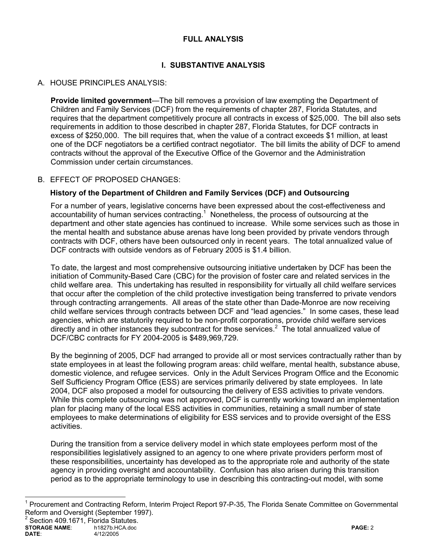### **FULL ANALYSIS**

# **I. SUBSTANTIVE ANALYSIS**

## A. HOUSE PRINCIPLES ANALYSIS:

**Provide limited government**—The bill removes a provision of law exempting the Department of Children and Family Services (DCF) from the requirements of chapter 287, Florida Statutes, and requires that the department competitively procure all contracts in excess of \$25,000. The bill also sets requirements in addition to those described in chapter 287, Florida Statutes, for DCF contracts in excess of \$250,000. The bill requires that, when the value of a contract exceeds \$1 million, at least one of the DCF negotiators be a certified contract negotiator. The bill limits the ability of DCF to amend contracts without the approval of the Executive Office of the Governor and the Administration Commission under certain circumstances.

### B. EFFECT OF PROPOSED CHANGES:

### **History of the Department of Children and Family Services (DCF) and Outsourcing**

For a number of years, legislative concerns have been expressed about the cost-effectiveness and accountability of human services contracting. $<sup>1</sup>$  Nonetheless, the process of outsourcing at the</sup> department and other state agencies has continued to increase. While some services such as those in the mental health and substance abuse arenas have long been provided by private vendors through contracts with DCF, others have been outsourced only in recent years. The total annualized value of DCF contracts with outside vendors as of February 2005 is \$1.4 billion.

To date, the largest and most comprehensive outsourcing initiative undertaken by DCF has been the initiation of Community-Based Care (CBC) for the provision of foster care and related services in the child welfare area. This undertaking has resulted in responsibility for virtually all child welfare services that occur after the completion of the child protective investigation being transferred to private vendors through contracting arrangements. All areas of the state other than Dade-Monroe are now receiving child welfare services through contracts between DCF and "lead agencies." In some cases, these lead agencies, which are statutorily required to be non-profit corporations, provide child welfare services directly and in other instances they subcontract for those services. $2$  The total annualized value of DCF/CBC contracts for FY 2004-2005 is \$489,969,729.

By the beginning of 2005, DCF had arranged to provide all or most services contractually rather than by state employees in at least the following program areas: child welfare, mental health, substance abuse, domestic violence, and refugee services. Only in the Adult Services Program Office and the Economic Self Sufficiency Program Office (ESS) are services primarily delivered by state employees. In late 2004, DCF also proposed a model for outsourcing the delivery of ESS activities to private vendors. While this complete outsourcing was not approved, DCF is currently working toward an implementation plan for placing many of the local ESS activities in communities, retaining a small number of state employees to make determinations of eligibility for ESS services and to provide oversight of the ESS activities.

During the transition from a service delivery model in which state employees perform most of the responsibilities legislatively assigned to an agency to one where private providers perform most of these responsibilities, uncertainty has developed as to the appropriate role and authority of the state agency in providing oversight and accountability. Confusion has also arisen during this transition period as to the appropriate terminology to use in describing this contracting-out model, with some

 $\overline{a}$ 

<sup>&</sup>lt;sup>1</sup> Procurement and Contracting Reform, Interim Project Report 97-P-35, The Florida Senate Committee on Governmental Reform and Oversight (September 1997).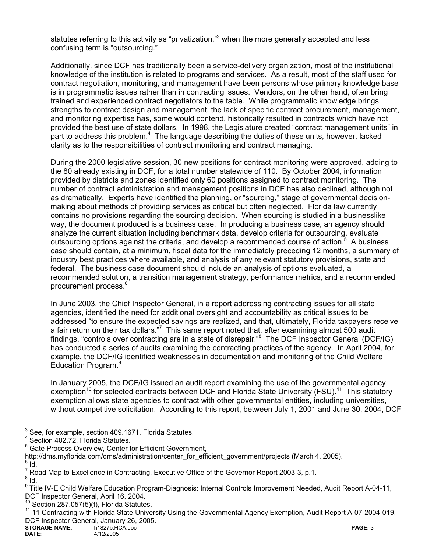statutes referring to this activity as "privatization,"<sup>3</sup> when the more generally accepted and less confusing term is "outsourcing."

Additionally, since DCF has traditionally been a service-delivery organization, most of the institutional knowledge of the institution is related to programs and services. As a result, most of the staff used for contract negotiation, monitoring, and management have been persons whose primary knowledge base is in programmatic issues rather than in contracting issues. Vendors, on the other hand, often bring trained and experienced contract negotiators to the table. While programmatic knowledge brings strengths to contract design and management, the lack of specific contract procurement, management, and monitoring expertise has, some would contend, historically resulted in contracts which have not provided the best use of state dollars. In 1998, the Legislature created "contract management units" in part to address this problem.<sup>4</sup> The language describing the duties of these units, however, lacked clarity as to the responsibilities of contract monitoring and contract managing.

During the 2000 legislative session, 30 new positions for contract monitoring were approved, adding to the 80 already existing in DCF, for a total number statewide of 110. By October 2004, information provided by districts and zones identified only 60 positions assigned to contract monitoring. The number of contract administration and management positions in DCF has also declined, although not as dramatically. Experts have identified the planning, or "sourcing," stage of governmental decisionmaking about methods of providing services as critical but often neglected. Florida law currently contains no provisions regarding the sourcing decision. When sourcing is studied in a businesslike way, the document produced is a business case. In producing a business case, an agency should analyze the current situation including benchmark data, develop criteria for outsourcing, evaluate outsourcing options against the criteria, and develop a recommended course of action.<sup>5</sup> A business case should contain, at a minimum, fiscal data for the immediately preceding 12 months, a summary of industry best practices where available, and analysis of any relevant statutory provisions, state and federal. The business case document should include an analysis of options evaluated, a recommended solution, a transition management strategy, performance metrics, and a recommended procurement process.6

In June 2003, the Chief Inspector General, in a report addressing contracting issues for all state agencies, identified the need for additional oversight and accountability as critical issues to be addressed "to ensure the expected savings are realized, and that, ultimately, Florida taxpayers receive a fair return on their tax dollars."<sup>7</sup> This same report noted that, after examining almost 500 audit findings, "controls over contracting are in a state of disrepair."<sup>8</sup> The DCF Inspector General (DCF/IG) has conducted a series of audits examining the contracting practices of the agency. In April 2004, for example, the DCF/IG identified weaknesses in documentation and monitoring of the Child Welfare Education Program.<sup>9</sup>

In January 2005, the DCF/IG issued an audit report examining the use of the governmental agency exemption<sup>10</sup> for selected contracts between DCF and Florida State University (FSU).<sup>11</sup> This statutory exemption allows state agencies to contract with other governmental entities, including universities, without competitive solicitation. According to this report, between July 1, 2001 and June 30, 2004, DCF

 $\frac{1}{3}$ See, for example, section 409.1671, Florida Statutes.

<sup>4</sup> Section 402.72, Florida Statutes.

<sup>&</sup>lt;sup>5</sup> Gate Process Overview, Center for Efficient Government,

http://dms.myflorida.com/dms/administration/center\_for\_efficient\_government/projects (March 4, 2005).

 $6$  Id.

 $^7$  Road Map to Excellence in Contracting, Executive Office of the Governor Report 2003-3, p.1.<br><sup>8</sup> Jd

 $8$  Id.

<sup>&</sup>lt;sup>9</sup> Title IV-E Child Welfare Education Program-Diagnosis: Internal Controls Improvement Needed, Audit Report A-04-11, DCF Inspector General, April 16, 2004.

 $\frac{10}{10}$  Section 287.057(5)(f), Florida Statutes.

<sup>11 11</sup> Contracting with Florida State University Using the Governmental Agency Exemption, Audit Report A-07-2004-019, DCF Inspector General, January 26, 2005.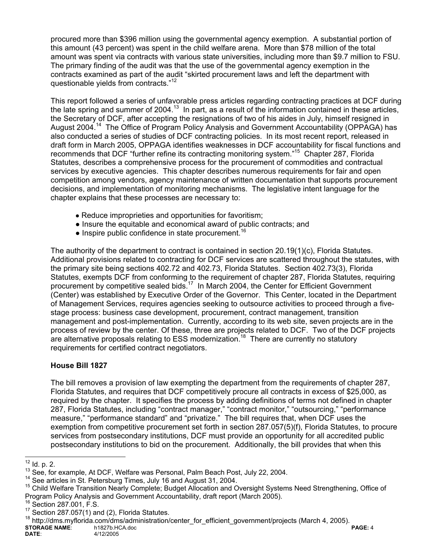procured more than \$396 million using the governmental agency exemption. A substantial portion of this amount (43 percent) was spent in the child welfare arena. More than \$78 million of the total amount was spent via contracts with various state universities, including more than \$9.7 million to FSU. The primary finding of the audit was that the use of the governmental agency exemption in the contracts examined as part of the audit "skirted procurement laws and left the department with questionable yields from contracts."<sup>12</sup>

This report followed a series of unfavorable press articles regarding contracting practices at DCF during the late spring and summer of 2004.<sup>13</sup> In part, as a result of the information contained in these articles, the Secretary of DCF, after accepting the resignations of two of his aides in July, himself resigned in August 2004.14 The Office of Program Policy Analysis and Government Accountability (OPPAGA) has also conducted a series of studies of DCF contracting policies. In its most recent report, released in draft form in March 2005, OPPAGA identifies weaknesses in DCF accountability for fiscal functions and recommends that DCF "further refine its contracting monitoring system."15 Chapter 287, Florida Statutes, describes a comprehensive process for the procurement of commodities and contractual services by executive agencies. This chapter describes numerous requirements for fair and open competition among vendors, agency maintenance of written documentation that supports procurement decisions, and implementation of monitoring mechanisms. The legislative intent language for the chapter explains that these processes are necessary to:

- Reduce improprieties and opportunities for favoritism;
- Insure the equitable and economical award of public contracts; and
- $\bullet$  Inspire public confidence in state procurement.<sup>16</sup>

The authority of the department to contract is contained in section 20.19(1)(c), Florida Statutes. Additional provisions related to contracting for DCF services are scattered throughout the statutes, with the primary site being sections 402.72 and 402.73, Florida Statutes. Section 402.73(3), Florida Statutes, exempts DCF from conforming to the requirement of chapter 287, Florida Statutes, requiring procurement by competitive sealed bids.<sup>17</sup> In March 2004, the Center for Efficient Government (Center) was established by Executive Order of the Governor. This Center, located in the Department of Management Services, requires agencies seeking to outsource activities to proceed through a fivestage process: business case development, procurement, contract management, transition management and post-implementation. Currently, according to its web site, seven projects are in the process of review by the center. Of these, three are projects related to DCF. Two of the DCF projects are alternative proposals relating to ESS modernization.<sup>18</sup> There are currently no statutory requirements for certified contract negotiators.

## **House Bill 1827**

The bill removes a provision of law exempting the department from the requirements of chapter 287, Florida Statutes, and requires that DCF competitively procure all contracts in excess of \$25,000, as required by the chapter. It specifies the process by adding definitions of terms not defined in chapter 287, Florida Statutes, including "contract manager," "contract monitor," "outsourcing," "performance measure," "performance standard" and "privatize." The bill requires that, when DCF uses the exemption from competitive procurement set forth in section 287.057(5)(f), Florida Statutes, to procure services from postsecondary institutions, DCF must provide an opportunity for all accredited public postsecondary institutions to bid on the procurement. Additionally, the bill provides that when this

**STORAGE NAME:** h1827b.HCA.doc **PAGE: 4**<br>DATE: 4/12/2005 4/12/2005 <sup>18</sup> http://dms.myflorida.com/dms/administration/center\_for\_efficient\_government/projects (March 4, 2005).

 $12$  ld. p. 2.

<sup>&</sup>lt;sup>13</sup> See, for example, At DCF, Welfare was Personal, Palm Beach Post, July 22, 2004.<br><sup>14</sup> See articles in St. Petersburg Times, July 16 and August 31, 2004.<br><sup>15</sup> Child Welfare Transition Nearly Complete; Budget Allocation Program Policy Analysis and Government Accountability, draft report (March 2005).<br><sup>16</sup> Section 287.001, F.S.<br><sup>17</sup> Section 287.057(1) and (2), Florida Statutes.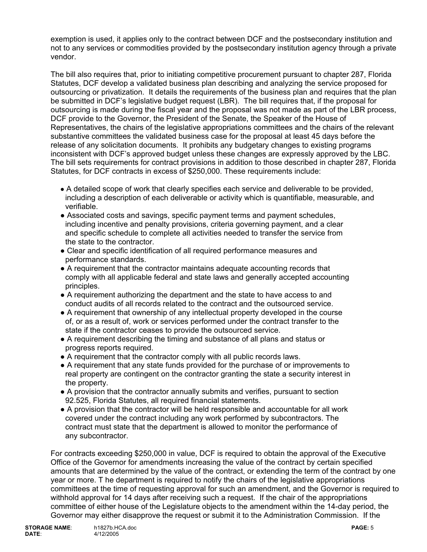exemption is used, it applies only to the contract between DCF and the postsecondary institution and not to any services or commodities provided by the postsecondary institution agency through a private vendor.

The bill also requires that, prior to initiating competitive procurement pursuant to chapter 287, Florida Statutes, DCF develop a validated business plan describing and analyzing the service proposed for outsourcing or privatization. It details the requirements of the business plan and requires that the plan be submitted in DCF's legislative budget request (LBR). The bill requires that, if the proposal for outsourcing is made during the fiscal year and the proposal was not made as part of the LBR process, DCF provide to the Governor, the President of the Senate, the Speaker of the House of Representatives, the chairs of the legislative appropriations committees and the chairs of the relevant substantive committees the validated business case for the proposal at least 45 days before the release of any solicitation documents. It prohibits any budgetary changes to existing programs inconsistent with DCF's approved budget unless these changes are expressly approved by the LBC. The bill sets requirements for contract provisions in addition to those described in chapter 287, Florida Statutes, for DCF contracts in excess of \$250,000. These requirements include:

- A detailed scope of work that clearly specifies each service and deliverable to be provided, including a description of each deliverable or activity which is quantifiable, measurable, and verifiable.
- Associated costs and savings, specific payment terms and payment schedules, including incentive and penalty provisions, criteria governing payment, and a clear and specific schedule to complete all activities needed to transfer the service from the state to the contractor.
- Clear and specific identification of all required performance measures and performance standards.
- A requirement that the contractor maintains adequate accounting records that comply with all applicable federal and state laws and generally accepted accounting principles.
- A requirement authorizing the department and the state to have access to and conduct audits of all records related to the contract and the outsourced service.
- A requirement that ownership of any intellectual property developed in the course of, or as a result of, work or services performed under the contract transfer to the state if the contractor ceases to provide the outsourced service.
- A requirement describing the timing and substance of all plans and status or progress reports required.
- A requirement that the contractor comply with all public records laws.
- A requirement that any state funds provided for the purchase of or improvements to real property are contingent on the contractor granting the state a security interest in the property.
- A provision that the contractor annually submits and verifies, pursuant to section 92.525, Florida Statutes, all required financial statements.
- A provision that the contractor will be held responsible and accountable for all work covered under the contract including any work performed by subcontractors. The contract must state that the department is allowed to monitor the performance of any subcontractor.

For contracts exceeding \$250,000 in value, DCF is required to obtain the approval of the Executive Office of the Governor for amendments increasing the value of the contract by certain specified amounts that are determined by the value of the contract, or extending the term of the contract by one year or more. T he department is required to notify the chairs of the legislative appropriations committees at the time of requesting approval for such an amendment, and the Governor is required to withhold approval for 14 days after receiving such a request. If the chair of the appropriations committee of either house of the Legislature objects to the amendment within the 14-day period, the Governor may either disapprove the request or submit it to the Administration Commission. If the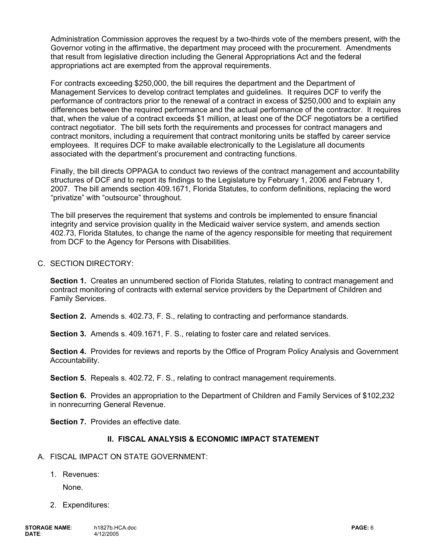Administration Commission approves the request by a two-thirds vote of the members present, with the Governor voting in the affirmative, the department may proceed with the procurement. Amendments that result from legislative direction including the General Appropriations Act and the federal appropriations act are exempted from the approval requirements.

For contracts exceeding \$250,000, the bill requires the department and the Department of Management Services to develop contract templates and guidelines. It requires DCF to verify the performance of contractors prior to the renewal of a contract in excess of \$250,000 and to explain any differences between the required performance and the actual performance of the contractor. It requires that, when the value of a contract exceeds \$1 million, at least one of the DCF negotiators be a certified contract negotiator. The bill sets forth the requirements and processes for contract managers and contract monitors, including a requirement that contract monitoring units be staffed by career service employees. It requires DCF to make available electronically to the Legislature all documents associated with the department's procurement and contracting functions.

Finally, the bill directs OPPAGA to conduct two reviews of the contract management and accountability structures of DCF and to report its findings to the Legislature by February 1, 2006 and February 1, 2007. The bill amends section 409.1671, Florida Statutes, to conform definitions, replacing the word "privatize" with "outsource" throughout.

The bill preserves the requirement that systems and controls be implemented to ensure financial integrity and service provision quality in the Medicaid waiver service system, and amends section 402.73, Florida Statutes, to change the name of the agency responsible for meeting that requirement from DCF to the Agency for Persons with Disabilities.

### C. SECTION DIRECTORY:

**Section 1.** Creates an unnumbered section of Florida Statutes, relating to contract management and contract monitoring of contracts with external service providers by the Department of Children and Family Services.

**Section 2.** Amends s. 402.73, F. S., relating to contracting and performance standards.

 **Section 3.** Amends s. 409.1671, F. S., relating to foster care and related services.

**Section 4.** Provides for reviews and reports by the Office of Program Policy Analysis and Government Accountability.

 **Section 5.** Repeals s. 402.72, F. S., relating to contract management requirements.

**Section 6.** Provides an appropriation to the Department of Children and Family Services of \$102,232 in nonrecurring General Revenue.

**Section 7.** Provides an effective date.

### **II. FISCAL ANALYSIS & ECONOMIC IMPACT STATEMENT**

- A. FISCAL IMPACT ON STATE GOVERNMENT:
	- 1. Revenues:

None.

2. Expenditures: